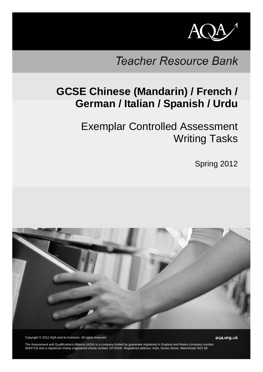

# **Teacher Resource Bank**

# **GCSE Chinese (Mandarin) / French / German / Italian / Spanish / Urdu**

Exemplar Controlled Assessment Writing Tasks

Spring 2012



Copyright © 2012 AQA and its licensors. All rights reserved.

The Assessment and Qualifications Alliance (AQA) is a company limited by guarantee registered in England and Wales (company number 3644723) and a registered charity (registered charity number 1073334). Registered address: AQA, Devas Street, Manchester M15 6E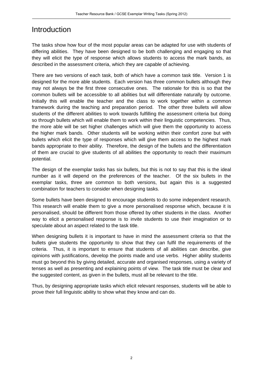# Introduction

The tasks show how four of the most popular areas can be adapted for use with students of differing abilities. They have been designed to be both challenging and engaging so that they will elicit the type of response which allows students to access the mark bands, as described in the assessment criteria, which they are capable of achieving.

There are two versions of each task, both of which have a common task title. Version 1 is designed for the more able students. Each version has three common bullets although they may not always be the first three consecutive ones. The rationale for this is so that the common bullets will be accessible to all abilities but will differentiate naturally by outcome. Initially this will enable the teacher and the class to work together within a common framework during the teaching and preparation period. The other three bullets will allow students of the different abilities to work towards fulfilling the assessment criteria but doing so through bullets which will enable them to work within their linguistic competencies. Thus, the more able will be set higher challenges which will give them the opportunity to access the higher mark bands. Other students will be working within their comfort zone but with bullets which elicit the type of responses which will give them access to the highest mark bands appropriate to their ability. Therefore, the design of the bullets and the differentiation of them are crucial to give students of all abilities the opportunity to reach their maximum potential.

The design of the exemplar tasks has six bullets, but this is not to say that this is the ideal number as it will depend on the preferences of the teacher. Of the six bullets in the exemplar tasks, three are common to both versions, but again this is a suggested combination for teachers to consider when designing tasks.

Some bullets have been designed to encourage students to do some independent research. This research will enable them to give a more personalised response which, because it is personalised, should be different from those offered by other students in the class. Another way to elicit a personalised response is to invite students to use their imagination or to speculate about an aspect related to the task title.

When designing bullets it is important to have in mind the assessment criteria so that the bullets give students the opportunity to show that they can fulfil the requirements of the criteria. Thus, it is important to ensure that students of all abilities can describe, give opinions with justifications, develop the points made and use verbs. Higher ability students must go beyond this by giving detailed, accurate and organised responses, using a variety of tenses as well as presenting and explaining points of view. The task title must be clear and the suggested content, as given in the bullets, must all be relevant to the title.

Thus, by designing appropriate tasks which elicit relevant responses, students will be able to prove their full linguistic ability to show what they know and can do.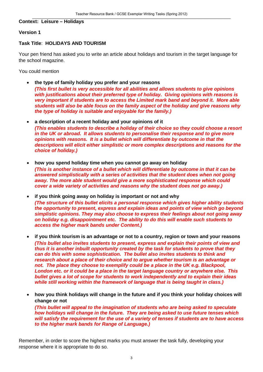#### **Context: Leisure – Holidays**

#### **Version 1**

#### **Task Title**: **HOLIDAYS AND TOURISM**

Your pen friend has asked you to write an article about holidays and tourism in the target language for the school magazine.

You could mention

• **the type of family holiday you prefer and your reasons**

*(This first bullet is very accessible for all abilities and allows students to give opinions with justifications about their preferred type of holiday. Giving opinions with reasons is very important if students are to access the Limited mark band and beyond it. More able students will also be able focus on the family aspect of the holiday and give reasons why the type of holiday is suitable and enjoyable for the family.)*

- **a description of a recent holiday and your opinions of it**  *(This enables students to describe a holiday of their choice so they could choose a resort in the UK or abroad. It allows students to personalise their response and to give more opinions with reasons. It is a bullet which will differentiate by outcome in that the descriptions will elicit either simplistic or more complex descriptions and reasons for the choice of holiday.)*
- **how you spend holiday time when you cannot go away on holiday** *(This is another instance of a bullet which will differentiate by outcome in that it can be answered simplistically with a series of activities that the student does when not going away. The more able student would give a more sophisticated response which could cover a wide variety of activities and reasons why the student does not go away.)*
- **if you think going away on holiday is important or not and why** *(The structure of this bullet elicits a personal response which gives higher ability students the opportunity to present, express and explain ideas and points of view which go beyond simplistic opinions. They may also choose to express their feelings about not going away on holiday e.g. disappointment etc. The ability to do this will enable such students to access the higher mark bands under Content.)*
- **if you think tourism is an advantage or not to a country, region or town and your reasons** *(This bullet also invites students to present, express and explain their points of view and thus it is another inbuilt opportunity created by the task for students to prove that they can do this with some sophistication. The bullet also invites students to think and research about a place of their choice and to argue whether tourism is an advantage or not. The place they choose to exemplify could be a place in the UK e.g. Blackpool, London etc. or it could be a place in the target language country or anywhere else. This bullet gives a lot of scope for students to work independently and to explain their ideas while still working within the framework of language that is being taught in class.)*

• **how you think holidays will change in the future and if you think your holiday choices will change or not** *(This bullet will appeal to the imagination of students who are being asked to speculate how holidays will change in the future. They are being asked to use future tenses which will satisfy the requirement for the use of a variety of tenses if students are to have access to the higher mark bands for Range of Language.)*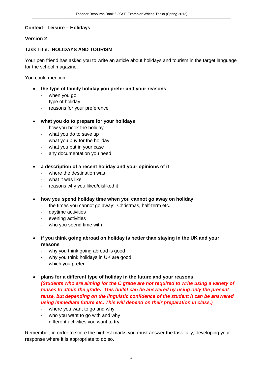## **Context: Leisure – Holidays**

#### **Version 2**

# **Task Title: HOLIDAYS AND TOURISM**

Your pen friend has asked you to write an article about holidays and tourism in the target language for the school magazine.

You could mention

- **the type of family holiday you prefer and your reasons**
	- when you go
	- type of holiday
	- reasons for your preference

#### • **what you do to prepare for your holidays**

- how you book the holiday
- what you do to save up
- what you buy for the holiday
- what you put in your case
- any documentation you need
- **a description of a recent holiday and your opinions of it**
	- where the destination was
	- what it was like
	- reasons why you liked/disliked it
- **how you spend holiday time when you cannot go away on holiday** 
	- the times you cannot go away: Christmas, half-term etc.
	- daytime activities
	- evening activities
	- who you spend time with
- **if you think going abroad on holiday is better than staying in the UK and your reasons**
	- why you think going abroad is good
	- why you think holidays in UK are good
	- which you prefer
- **plans for a different type of holiday in the future and your reasons** *(Students who are aiming for the C grade are not required to write using a variety of tenses to attain the grade. This bullet can be answered by using only the present tense, but depending on the linguistic confidence of the student it can be answered using immediate future etc. This will depend on their preparation in class.)*
	- where you want to go and why
	- who you want to go with and why
	- different activities you want to try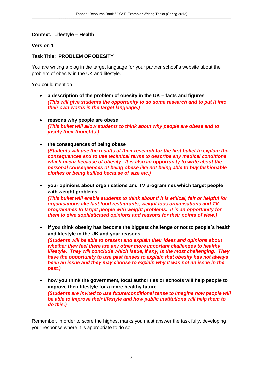# **Context: Lifestyle – Health**

#### **Version 1**

# **Task Title: PROBLEM OF OBESITY**

You are writing a blog in the target language for your partner school´s website about the problem of obesity in the UK and lifestyle.

You could mention

- **a description of the problem of obesity in the UK facts and figures** *(This will give students the opportunity to do some research and to put it into their own words in the target language.)*
- **reasons why people are obese** *(This bullet will allow students to think about why people are obese and to justify their thoughts.)*
- **the consequences of being obese**  *(Students will use the results of their research for the first bullet to explain the consequences and to use technical terms to describe any medical conditions which occur because of obesity. It is also an opportunity to write about the personal consequences of being obese like not being able to buy fashionable clothes or being bullied because of size etc.)*
- **your opinions about organisations and TV programmes which target people with weight problems** *(This bullet will enable students to think about if it is ethical, fair or helpful for organisations like fast food restaurants, weight loss organisations and TV programmes to target people with weight problems. It is an opportunity for them to give sophisticated opinions and reasons for their points of view.)*
- **if you think obesity has become the biggest challenge or not to people´s health and lifestyle in the UK and your reasons** *(Students will be able to present and explain their ideas and opinions about whether they feel there are any other more important challenges to healthy lifestyle. They will conclude which issue, if any, is the most challenging. They have the opportunity to use past tenses to explain that obesity has not always been an issue and they may choose to explain why it was not an issue in the past.)*
- **how you think the government, local authorities or schools will help people to improve their lifestyle for a more healthy future** *(Students are invited to use future/conditional tense to imagine how people will be able to improve their lifestyle and how public institutions will help them to do this.)*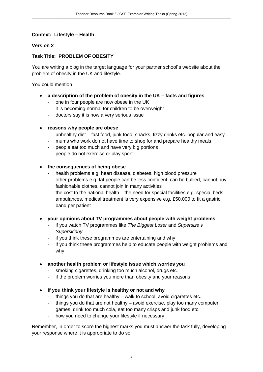# **Context: Lifestyle – Health**

## **Version 2**

# **Task Title: PROBLEM OF OBESITY**

You are writing a blog in the target language for your partner school´s website about the problem of obesity in the UK and lifestyle.

You could mention

- **a description of the problem of obesity in the UK facts and figures**
	- one in four people are now obese in the UK
	- it is becoming normal for children to be overweight
	- doctors say it is now a very serious issue

#### • **reasons why people are obese**

- unhealthy diet fast food, junk food, snacks, fizzy drinks etc. popular and easy
- mums who work do not have time to shop for and prepare healthy meals
- people eat too much and have very big portions
- people do not exercise or play sport
- **the consequences of being obese**
	- health problems e.g. heart disease, diabetes, high blood pressure
	- other problems e.g. fat people can be less confident, can be bullied, cannot buy fashionable clothes, cannot join in many activities
	- the cost to the national health the need for special facilities e.g. special beds, ambulances, medical treatment is very expensive e.g. £50,000 to fit a gastric band per patient

# • **your opinions about TV programmes about people with weight problems**

- if you watch TV programmes like *The Biggest Loser* and *Supersize v Superskinny*
- if you think these programmes are entertaining and why
- if you think these programmes help to educate people with weight problems and why

#### • **another health problem or lifestyle issue which worries you**

- smoking cigarettes, drinking too much alcohol, drugs etc.
- if the problem worries you more than obesity and your reasons
- **if you think your lifestyle is healthy or not and why**
	- things you do that are healthy walk to school, avoid cigarettes etc.
	- things you do that are not healthy avoid exercise, play too many computer games, drink too much cola, eat too many crisps and junk food etc.
	- how you need to change your lifestyle if necessary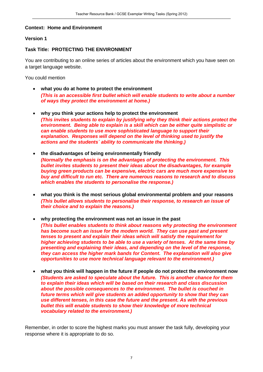#### **Context: Home and Environment**

#### **Version 1**

# **Task Title: PROTECTING THE ENVIRONMENT**

You are contributing to an online series of articles about the environment which you have seen on a target language website.

You could mention

- **what you do at home to protect the environment** *(This is an accessible first bullet which will enable students to write about a number of ways they protect the environment at home.)*
- **why you think your actions help to protect the environment** *(This invites students to explain by justifying why they think their actions protect the environment. Being able to explain is a skill which can be either quite simplistic or can enable students to use more sophisticated language to support their explanation. Responses will depend on the level of thinking used to justify the actions and the students´ ability to communicate the thinking.)*
- **the disadvantages of being environmentally friendly** *(Normally the emphasis is on the advantages of protecting the environment. This bullet invites students to present their ideas about the disadvantages, for example buying green products can be expensive, electric cars are much more expensive to buy and difficult to run etc. There are numerous reasons to research and to discuss which enables the students to personalise the response.)*
- **what you think is the most serious global environmental problem and your reasons** *(This bullet allows students to personalise their response, to research an issue of their choice and to explain the reasons.)*
- **why protecting the environment was not an issue in the past** *(This bullet enables students to think about reasons why protecting the environment has become such an issue for the modern world. They can use past and present tenses to present and explain their ideas which will satisfy the requirement for higher achieving students to be able to use a variety of tenses. At the same time by presenting and explaining their ideas, and depending on the level of the response, they can access the higher mark bands for Content. The explanation will also give opportunities to use more technical language relevant to the environment.)*
- **what you think will happen in the future if people do not protect the environment now** *(Students are asked to speculate about the future. This is another chance for them to explain their ideas which will be based on their research and class discussion about the possible consequences to the environment. The bullet is couched in future terms which will give students an added opportunity to show that they can use different tenses, in this case the future and the present. As with the previous bullet this will enable students to show their knowledge of more technical vocabulary related to the environment.)*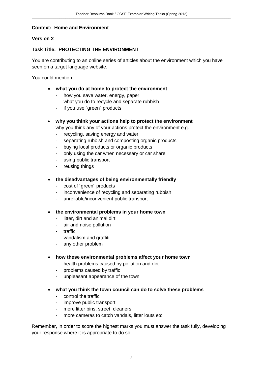#### **Context: Home and Environment**

#### **Version 2**

# **Task Title: PROTECTING THE ENVIRONMENT**

You are contributing to an online series of articles about the environment which you have seen on a target language website.

You could mention

- **what you do at home to protect the environment**
	- how you save water, energy, paper
	- what you do to recycle and separate rubbish
	- if you use ´green´ products
- **why you think your actions help to protect the environment**
	- why you think any of your actions protect the environment e.g.
	- recycling, saving energy and water
	- separating rubbish and composting organic products
	- buying local products or organic products
	- only using the car when necessary or car share
	- using public transport
	- reusing things
- **the disadvantages of being environmentally friendly**
	- cost of ´green´ products
	- inconvenience of recycling and separating rubbish
	- unreliable/inconvenient public transport
- **the environmental problems in your home town**
	- litter, dirt and animal dirt
	- air and noise pollution
	- traffic
	- vandalism and graffiti
	- any other problem
- **how these environmental problems affect your home town**
	- health problems caused by pollution and dirt
	- problems caused by traffic
	- unpleasant appearance of the town
- **what you think the town council can do to solve these problems**
	- control the traffic
	- improve public transport
	- more litter bins, street cleaners
	- more cameras to catch vandals, litter louts etc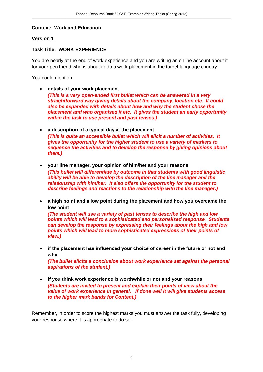#### **Context: Work and Education**

#### **Version 1**

# **Task Title: WORK EXPERIENCE**

You are nearly at the end of work experience and you are writing an online account about it for your pen friend who is about to do a work placement in the target language country.

You could mention

• **details of your work placement**

*(This is a very open-ended first bullet which can be answered in a very straightforward way giving details about the company, location etc. It could also be expanded with details about how and why the student chose the placement and who organised it etc. It gives the student an early opportunity within the task to use present and past tenses.)*

- **a description of a typical day at the placement** *(This is quite an accessible bullet which will elicit a number of activities. It gives the opportunity for the higher student to use a variety of markers to sequence the activities and to develop the response by giving opinions about them.)*
- **your line manager, your opinion of him/her and your reasons** *(This bullet will differentiate by outcome in that students with good linguistic ability will be able to develop the description of the line manager and the relationship with him/her. It also offers the opportunity for the student to describe feelings and reactions to the relationship with the line manager.)*
- **a high point and a low point during the placement and how you overcame the low point**

*(The student will use a variety of past tenses to describe the high and low points which will lead to a sophisticated and personalised response. Students can develop the response by expressing their feelings about the high and low points which will lead to more sophisticated expressions of their points of view.)*

- **if the placement has influenced your choice of career in the future or not and why** *(The bullet elicits a conclusion about work experience set against the personal aspirations of the student.)*
- **if you think work experience is worthwhile or not and your reasons** *(Students are invited to present and explain their points of view about the value of work experience in general. If done well it will give students access to the higher mark bands for Content.)*